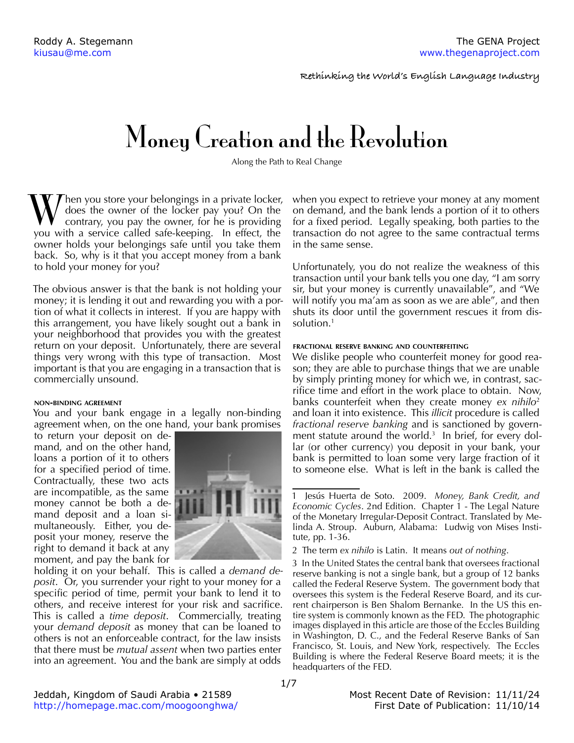**Rethinking the World's English Language Industry**

# Money Creation and the Revolution

Along the Path to Real Change

 $\mathcal{T}$ hen you store your belongings in a private locker, does the owner of the locker pay you? On the contrary, you pay the owner, for he is providing you with a service called safe-keeping. In effect, the owner holds your belongings safe until you take them back. So, why is it that you accept money from a bank to hold your money for you?

The obvious answer is that the bank is not holding your money; it is lending it out and rewarding you with a portion of what it collects in interest. If you are happy with this arrangement, you have likely sought out a bank in your neighborhood that provides you with the greatest return on your deposit. Unfortunately, there are several things very wrong with this type of transaction. Most important is that you are engaging in a transaction that is commercially unsound.

## **non-binding agreement**

You and your bank engage in a legally non-binding agreement when, on the one hand, your bank promises

to return your deposit on demand, and on the other hand, loans a portion of it to others for a specified period of time. Contractually, these two acts are incompatible, as the same money cannot be both a demand deposit and a loan simultaneously. Either, you deposit your money, reserve the right to demand it back at any moment, and pay the bank for



holding it on your behalf. This is called a *demand deposit*. Or, you surrender your right to your money for a specific period of time, permit your bank to lend it to others, and receive interest for your risk and sacrifice. This is called a *time deposit*. Commercially, treating your *demand deposit* as money that can be loaned to others is not an enforceable contract, for the law insists that there must be *mutual assent* when two parties enter into an agreement. You and the bank are simply at odds

when you expect to retrieve your money at any moment on demand, and the bank lends a portion of it to others for a fixed period. Legally speaking, both parties to the transaction do not agree to the same contractual terms in the same sense.

Unfortunately, you do not realize the weakness of this transaction until your bank tells you one day, "I am sorry sir, but your money is currently unavailable", and "We will notify you ma'am as soon as we are able", and then shuts its door until the government rescues it from dissolution.1

#### **fractional reserve banking and counterfeiting**

We dislike people who counterfeit money for good reason; they are able to purchase things that we are unable by simply printing money for which we, in contrast, sacrifice time and effort in the work place to obtain. Now, banks counterfeit when they create money *ex nihilo*<sup>2</sup> and loan it into existence. This *illicit* procedure is called *fractional reserve banking* and is sanctioned by government statute around the world.<sup>3</sup> In brief, for every dollar (or other currency) you deposit in your bank, your bank is permitted to loan some very large fraction of it to someone else. What is left in the bank is called the

<sup>1</sup> Jesús Huerta de Soto. 2009. *Money, Bank Credit, and Economic Cycles.* 2nd Edition. Chapter 1 - The Legal Nature of the Monetary Irregular-Deposit Contract. Translated by Melinda A. Stroup. Auburn, Alabama: Ludwig von Mises Institute, pp. 1-36.

<sup>2</sup> The term *ex nihilo* is Latin. It means *out of nothing*.

<sup>3</sup> In the United States the central bank that oversees fractional reserve banking is not a single bank, but a group of 12 banks called the Federal Reserve System. The government body that oversees this system is the Federal Reserve Board, and its current chairperson is Ben Shalom Bernanke. In the US this entire system is commonly known as the FED. The photographic images displayed in this article are those of the Eccles Building in Washington, D. C., and the Federal Reserve Banks of San Francisco, St. Louis, and New York, respectively. The Eccles Building is where the Federal Reserve Board meets; it is the headquarters of the FED.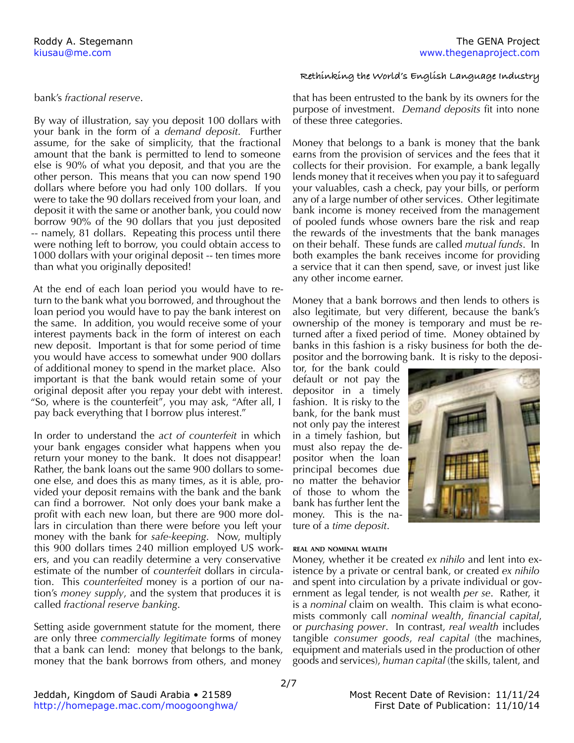## bank's *fractional reserve*.

By way of illustration, say you deposit 100 dollars with your bank in the form of a *demand deposit*. Further assume, for the sake of simplicity, that the fractional amount that the bank is permitted to lend to someone else is 90% of what you deposit, and that you are the other person. This means that you can now spend 190 dollars where before you had only 100 dollars. If you were to take the 90 dollars received from your loan, and deposit it with the same or another bank, you could now borrow 90% of the 90 dollars that you just deposited -- namely, 81 dollars. Repeating this process until there were nothing left to borrow, you could obtain access to 1000 dollars with your original deposit -- ten times more than what you originally deposited!

At the end of each loan period you would have to return to the bank what you borrowed, and throughout the loan period you would have to pay the bank interest on the same. In addition, you would receive some of your interest payments back in the form of interest on each new deposit. Important is that for some period of time you would have access to somewhat under 900 dollars of additional money to spend in the market place. Also important is that the bank would retain some of your original deposit after you repay your debt with interest. "So, where is the counterfeit", you may ask, "After all, I pay back everything that I borrow plus interest."

In order to understand the *act of counterfeit* in which your bank engages consider what happens when you return your money to the bank. It does not disappear! Rather, the bank loans out the same 900 dollars to someone else, and does this as many times, as it is able, provided your deposit remains with the bank and the bank can find a borrower. Not only does your bank make a profit with each new loan, but there are 900 more dollars in circulation than there were before you left your money with the bank for *safe-keeping*. Now, multiply this 900 dollars times 240 million employed US workers, and you can readily determine a very conservative estimate of the number of *counterfeit* dollars in circulation. This *counterfeited* money is a portion of our nation's *money supply*, and the system that produces it is called *fractional reserve banking*.

Setting aside government statute for the moment, there are only three *commercially legitimate* forms of money that a bank can lend: money that belongs to the bank, money that the bank borrows from others, and money

## **Rethinking the World's English Language Industry**

that has been entrusted to the bank by its owners for the purpose of investment. *Demand deposits* fit into none of these three categories.

Money that belongs to a bank is money that the bank earns from the provision of services and the fees that it collects for their provision. For example, a bank legally lends money that it receives when you pay it to safeguard your valuables, cash a check, pay your bills, or perform any of a large number of other services. Other legitimate bank income is money received from the management of pooled funds whose owners bare the risk and reap the rewards of the investments that the bank manages on their behalf. These funds are called *mutual funds*. In both examples the bank receives income for providing a service that it can then spend, save, or invest just like any other income earner.

Money that a bank borrows and then lends to others is also legitimate, but very different, because the bank's ownership of the money is temporary and must be returned after a fixed period of time. Money obtained by banks in this fashion is a risky business for both the depositor and the borrowing bank. It is risky to the deposi-

tor, for the bank could default or not pay the depositor in a timely fashion. It is risky to the bank, for the bank must not only pay the interest in a timely fashion, but must also repay the depositor when the loan principal becomes due no matter the behavior of those to whom the bank has further lent the money. This is the nature of a *time deposit*.



#### **real and nominal wealth**

Money, whether it be created *ex nihilo* and lent into existence by a private or central bank, or created *ex nihilo*  and spent into circulation by a private individual or government as legal tender, is not wealth *per se*. Rather, it is a *nominal* claim on wealth. This claim is what economists commonly call *nominal wealth*, *financial capital*, or *purchasing power*. In contrast, *real wealth* includes tangible *consumer goods*, *real capital* (the machines, equipment and materials used in the production of other goods and services), *human capital* (the skills, talent, and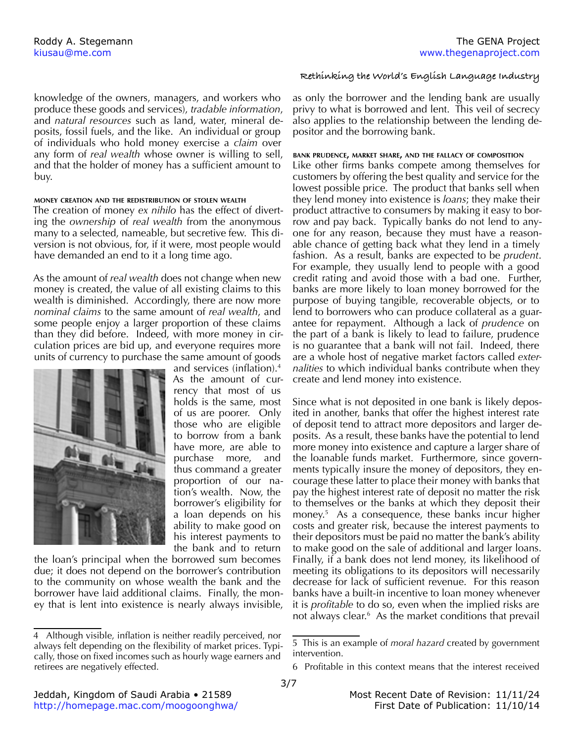knowledge of the owners, managers, and workers who produce these goods and services), *tradable information*, and *natural resources* such as land, water, mineral deposits, fossil fuels, and the like. An individual or group of individuals who hold money exercise a *claim* over any form of *real wealth* whose owner is willing to sell, and that the holder of money has a sufficient amount to buy.

#### **money creation and the redistribution of stolen wealth**

The creation of money *ex nihilo* has the effect of diverting the *ownership* of *real wealth* from the anonymous many to a selected, nameable, but secretive few. This diversion is not obvious, for, if it were, most people would have demanded an end to it a long time ago.

As the amount of *real wealth* does not change when new money is created, the value of all existing claims to this wealth is diminished. Accordingly, there are now more *nominal claims* to the same amount of *real wealth*, and some people enjoy a larger proportion of these claims than they did before. Indeed, with more money in circulation prices are bid up, and everyone requires more units of currency to purchase the same amount of goods



and services (inflation).<sup>4</sup> As the amount of currency that most of us holds is the same, most of us are poorer. Only those who are eligible to borrow from a bank have more, are able to purchase more, and thus command a greater proportion of our nation's wealth. Now, the borrower's eligibility for a loan depends on his ability to make good on his interest payments to the bank and to return

the loan's principal when the borrowed sum becomes due; it does not depend on the borrower's contribution to the community on whose wealth the bank and the borrower have laid additional claims. Finally, the money that is lent into existence is nearly always invisible,

#### **Rethinking the World's English Language Industry**

as only the borrower and the lending bank are usually privy to what is borrowed and lent. This veil of secrecy also applies to the relationship between the lending depositor and the borrowing bank.

#### **bank prudence, market share, and the fallacy of composition**

Like other firms banks compete among themselves for customers by offering the best quality and service for the lowest possible price. The product that banks sell when they lend money into existence is *loans*; they make their product attractive to consumers by making it easy to borrow and pay back. Typically banks do not lend to anyone for any reason, because they must have a reasonable chance of getting back what they lend in a timely fashion. As a result, banks are expected to be *prudent*. For example, they usually lend to people with a good credit rating and avoid those with a bad one. Further, banks are more likely to loan money borrowed for the purpose of buying tangible, recoverable objects, or to lend to borrowers who can produce collateral as a guarantee for repayment. Although a lack of *prudence* on the part of a bank is likely to lead to failure, prudence is no guarantee that a bank will not fail. Indeed, there are a whole host of negative market factors called *externalities* to which individual banks contribute when they create and lend money into existence.

Since what is not deposited in one bank is likely deposited in another, banks that offer the highest interest rate of deposit tend to attract more depositors and larger deposits. As a result, these banks have the potential to lend more money into existence and capture a larger share of the loanable funds market. Furthermore, since governments typically insure the money of depositors, they encourage these latter to place their money with banks that pay the highest interest rate of deposit no matter the risk to themselves or the banks at which they deposit their money.5 As a consequence, these banks incur higher costs and greater risk, because the interest payments to their depositors must be paid no matter the bank's ability to make good on the sale of additional and larger loans. Finally, if a bank does not lend money, its likelihood of meeting its obligations to its depositors will necessarily decrease for lack of sufficient revenue. For this reason banks have a built-in incentive to loan money whenever it is *profitable* to do so, even when the implied risks are not always clear.<sup>6</sup> As the market conditions that prevail

<sup>4</sup> Although visible, inflation is neither readily perceived, nor always felt depending on the flexibility of market prices. Typically, those on fixed incomes such as hourly wage earners and retirees are negatively effected.

<sup>5</sup> This is an example of *moral hazard* created by government intervention.

<sup>6</sup> Profitable in this context means that the interest received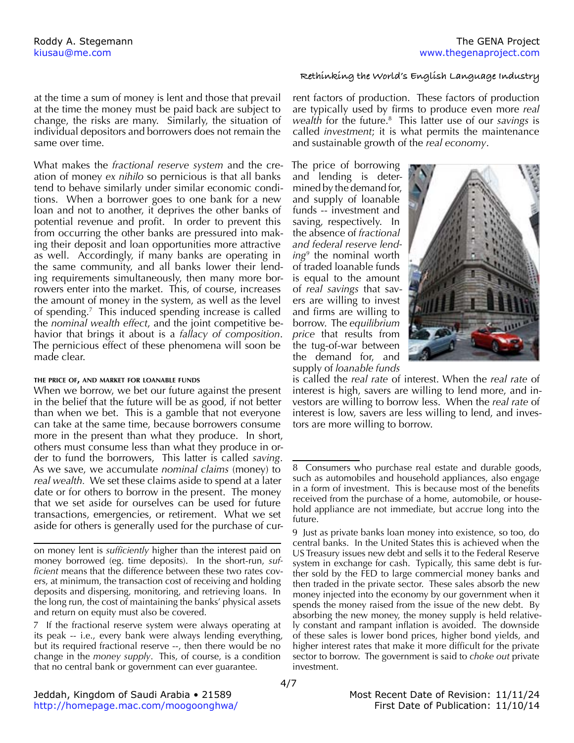## **Rethinking the World's English Language Industry**

at the time a sum of money is lent and those that prevail at the time the money must be paid back are subject to change, the risks are many. Similarly, the situation of individual depositors and borrowers does not remain the same over time.

What makes the *fractional reserve system* and the creation of money *ex nihilo* so pernicious is that all banks tend to behave similarly under similar economic conditions. When a borrower goes to one bank for a new loan and not to another, it deprives the other banks of potential revenue and profit. In order to prevent this from occurring the other banks are pressured into making their deposit and loan opportunities more attractive as well. Accordingly, if many banks are operating in the same community, and all banks lower their lending requirements simultaneously, then many more borrowers enter into the market. This, of course, increases the amount of money in the system, as well as the level of spending.7 This induced spending increase is called the *nominal wealth effect*, and the joint competitive behavior that brings it about is a *fallacy of composition*. The pernicious effect of these phenomena will soon be made clear.

#### **the price of, and market for loanable funds**

When we borrow, we bet our future against the present in the belief that the future will be as good, if not better than when we bet. This is a gamble that not everyone can take at the same time, because borrowers consume more in the present than what they produce. In short, others must consume less than what they produce in order to fund the borrowers, This latter is called *saving*. As we save, we accumulate *nominal claims* (money) to *real wealth.* We set these claims aside to spend at a later date or for others to borrow in the present. The money that we set aside for ourselves can be used for future transactions, emergencies, or retirement. What we set aside for others is generally used for the purchase of cur-

on money lent is *sufficiently* higher than the interest paid on money borrowed (eg. time deposits). In the short-run, *sufficient* means that the difference between these two rates covers, at minimum, the transaction cost of receiving and holding deposits and dispersing, monitoring, and retrieving loans. In the long run, the cost of maintaining the banks' physical assets and return on equity must also be covered.

7 If the fractional reserve system were always operating at its peak -- i.e., every bank were always lending everything, but its required fractional reserve --, then there would be no change in the *money supply*. This, of course, is a condition that no central bank or government can ever guarantee.

rent factors of production. These factors of production are typically used by firms to produce even more *real wealth* for the future.8 This latter use of our *savings* is called *investment*; it is what permits the maintenance and sustainable growth of the *real economy*.

The price of borrowing and lending is determined by the demand for, and supply of loanable funds -- investment and saving, respectively. In the absence of *fractional and federal reserve lending9* the nominal worth of traded loanable funds is equal to the amount of *real savings* that savers are willing to invest and firms are willing to borrow. The *equilibrium price* that results from the tug-of-war between the demand for, and supply of *loanable funds*



is called the *real rate* of interest. When the *real rate* of interest is high, savers are willing to lend more, and investors are willing to borrow less. When the *real rate* of interest is low, savers are less willing to lend, and investors are more willing to borrow.

<sup>8</sup> Consumers who purchase real estate and durable goods, such as automobiles and household appliances, also engage in a form of investment. This is because most of the benefits received from the purchase of a home, automobile, or household appliance are not immediate, but accrue long into the future.

<sup>9</sup> Just as private banks loan money into existence, so too, do central banks. In the United States this is achieved when the US Treasury issues new debt and sells it to the Federal Reserve system in exchange for cash. Typically, this same debt is further sold by the FED to large commercial money banks and then traded in the private sector. These sales absorb the new money injected into the economy by our government when it spends the money raised from the issue of the new debt. By absorbing the new money, the money supply is held relatively constant and rampant inflation is avoided. The downside of these sales is lower bond prices, higher bond yields, and higher interest rates that make it more difficult for the private sector to borrow. The government is said to *choke out* private investment.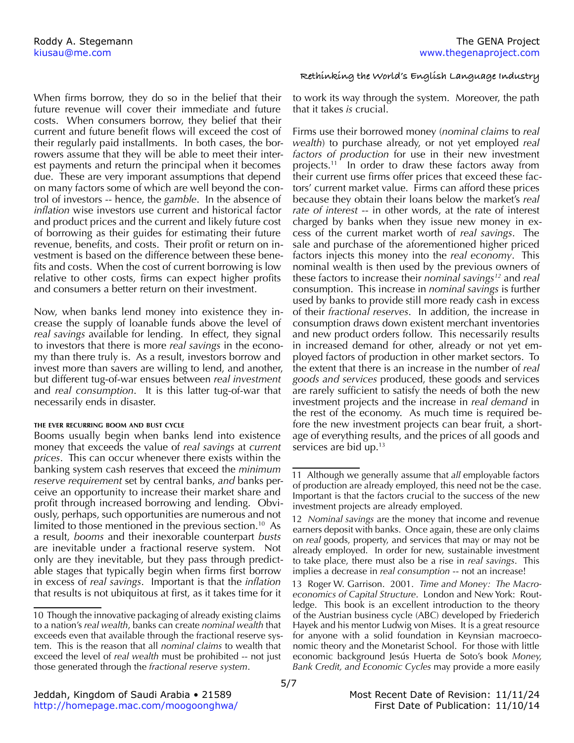When firms borrow, they do so in the belief that their future revenue will cover their immediate and future costs. When consumers borrow, they belief that their current and future benefit flows will exceed the cost of their regularly paid installments. In both cases, the borrowers assume that they will be able to meet their interest payments and return the principal when it becomes due. These are very imporant assumptions that depend on many factors some of which are well beyond the control of investors -- hence, the *gamble*. In the absence of *inflation* wise investors use current and historical factor and product prices and the current and likely future cost of borrowing as their guides for estimating their future revenue, benefits, and costs. Their profit or return on investment is based on the difference between these benefits and costs. When the cost of current borrowing is low relative to other costs, firms can expect higher profits and consumers a better return on their investment.

Now, when banks lend money into existence they increase the supply of loanable funds above the level of *real savings* available for lending. In effect, they signal to investors that there is more *real savings* in the economy than there truly is. As a result, investors borrow and invest more than savers are willing to lend, and another, but different tug-of-war ensues between *real investment* and *real consumption*. It is this latter tug-of-war that necessarily ends in disaster.

#### **the ever recurring boom and bust cycle**

Booms usually begin when banks lend into existence money that exceeds the value of *real savings* at *current prices*. This can occur whenever there exists within the banking system cash reserves that exceed the *minimum reserve requirement* set by central banks, *and* banks perceive an opportunity to increase their market share and profit through increased borrowing and lending. Obviously, perhaps, such opportunities are numerous and not limited to those mentioned in the previous section.<sup>10</sup> As a result, *booms* and their inexorable counterpart *busts* are inevitable under a fractional reserve system. Not only are they inevitable, but they pass through predictable stages that typically begin when firms first borrow in excess of *real savings*. Important is that the *inflation* that results is not ubiquitous at first, as it takes time for it

## **Rethinking the World's English Language Industry**

to work its way through the system. Moreover, the path that it takes *is* crucial.

Firms use their borrowed money (*nominal claims* to *real wealth*) to purchase already, or not yet employed *real factors of production* for use in their new investment projects.11 In order to draw these factors away from their current use firms offer prices that exceed these factors' current market value. Firms can afford these prices because they obtain their loans below the market's *real rate of interest* -- in other words, at the rate of interest charged by banks when they issue new money in excess of the current market worth of *real savings*. The sale and purchase of the aforementioned higher priced factors injects this money into the *real economy*. This nominal wealth is then used by the previous owners of these factors to increase their *nominal savings12* and *real* consumption. This increase in *nominal savings* is further used by banks to provide still more ready cash in excess of their *fractional reserves*. In addition, the increase in consumption draws down existent merchant inventories and new product orders follow. This necessarily results in increased demand for other, already or not yet employed factors of production in other market sectors. To the extent that there is an increase in the number of *real goods and services* produced, these goods and services are rarely sufficient to satisfy the needs of both the new investment projects and the increase in *real demand* in the rest of the economy. As much time is required before the new investment projects can bear fruit, a shortage of everything results, and the prices of all goods and services are bid up.<sup>13</sup>

<sup>10</sup> Though the innovative packaging of already existing claims to a nation's *real wealth*, banks can create *nominal wealth* that exceeds even that available through the fractional reserve system. This is the reason that all *nominal claims* to wealth that exceed the level of *real wealth* must be prohibited -- not just those generated through the *fractional reserve system*.

<sup>11</sup> Although we generally assume that *all* employable factors of production are already employed, this need not be the case. Important is that the factors crucial to the success of the new investment projects are already employed.

<sup>12</sup> *Nominal savings* are the money that income and revenue earners deposit with banks. Once again, these are only claims on *real* goods, property, and services that may or may not be already employed. In order for new, sustainable investment to take place, there must also be a rise in *real savings*. This implies a decrease in *real consumption* -- not an increase!

<sup>13</sup> Roger W. Garrison. 2001. *Time and Money: The Macroeconomics of Capital Structure*. London and New York: Routledge. This book is an excellent introduction to the theory of the Austrian business cycle (ABC) developed by Friederich Hayek and his mentor Ludwig von Mises. It is a great resource for anyone with a solid foundation in Keynsian macroeconomic theory and the Monetarist School. For those with little economic background Jesús Huerta de Soto's book *Money, Bank Credit, and Economic Cycles* may provide a more easily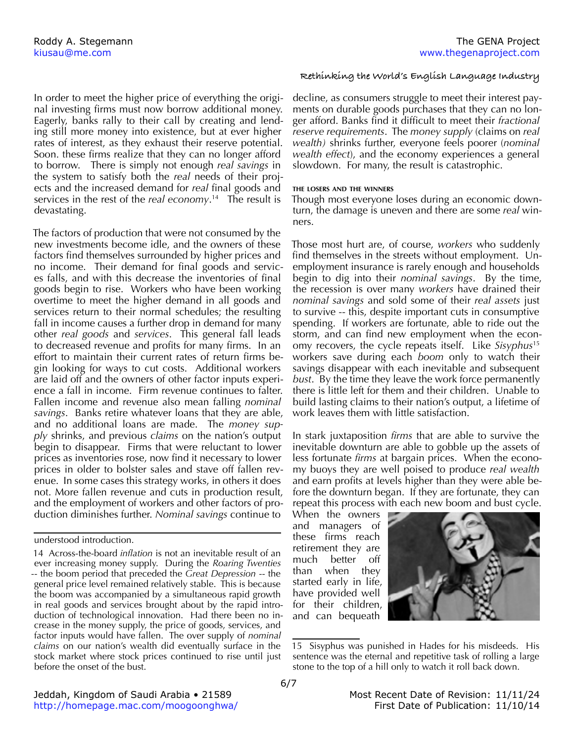Roddy A. Stegemann The GENA Project and the GENA Project of the GENA Project and the GENA Project

In order to meet the higher price of everything the original investing firms must now borrow additional money. Eagerly, banks rally to their call by creating and lending still more money into existence, but at ever higher rates of interest, as they exhaust their reserve potential. Soon. these firms realize that they can no longer afford to borrow. There is simply not enough *real savings* in the system to satisfy both the *real* needs of their projects and the increased demand for *real* final goods and services in the rest of the *real economy*. 14 The result is devastating.

The factors of production that were not consumed by the new investments become idle, and the owners of these factors find themselves surrounded by higher prices and no income. Their demand for final goods and services falls, and with this decrease the inventories of final goods begin to rise. Workers who have been working overtime to meet the higher demand in all goods and services return to their normal schedules; the resulting fall in income causes a further drop in demand for many other *real goods* and *services*. This general fall leads to decreased revenue and profits for many firms. In an effort to maintain their current rates of return firms begin looking for ways to cut costs. Additional workers are laid off and the owners of other factor inputs experience a fall in income. Firm revenue continues to falter. Fallen income and revenue also mean falling *nominal savings*. Banks retire whatever loans that they are able, and no additional loans are made. The *money supply* shrinks, and previous *claims* on the nation's output begin to disappear. Firms that were reluctant to lower prices as inventories rose, now find it necessary to lower prices in older to bolster sales and stave off fallen revenue. In some cases this strategy works, in others it does not. More fallen revenue and cuts in production result, and the employment of workers and other factors of production diminishes further. *Nominal savings* continue to

# **Rethinking the World's English Language Industry**

decline, as consumers struggle to meet their interest payments on durable goods purchases that they can no longer afford. Banks find it difficult to meet their *fractional reserve requirements*. The *money supply* (claims on *real wealth)* shrinks further, everyone feels poorer (*nominal wealth effect*), and the economy experiences a general slowdown. For many, the result is catastrophic.

## **the losers and the winners**

Though most everyone loses during an economic downturn, the damage is uneven and there are some *real* winners.

Those most hurt are, of course, *workers* who suddenly find themselves in the streets without employment. Unemployment insurance is rarely enough and households begin to dig into their *nominal savings*. By the time, the recession is over many *workers* have drained their *nominal savings* and sold some of their *real assets* just to survive -- this, despite important cuts in consumptive spending. If workers are fortunate, able to ride out the storm, and can find new employment when the economy recovers, the cycle repeats itself. Like *Sisyphus*<sup>15</sup> workers save during each *boom* only to watch their savings disappear with each inevitable and subsequent *bust*. By the time they leave the work force permanently there is little left for them and their children. Unable to build lasting claims to their nation's output, a lifetime of work leaves them with little satisfaction.

In stark juxtaposition *firms* that are able to survive the inevitable downturn are able to gobble up the assets of less fortunate *firms* at bargain prices. When the economy buoys they are well poised to produce *real wealth*  and earn profits at levels higher than they were able before the downturn began. If they are fortunate, they can repeat this process with each new boom and bust cycle.

When the owners and managers of these firms reach retirement they are much better off than when they started early in life, have provided well for their children, and can bequeath



<sup>15</sup> Sisyphus was punished in Hades for his misdeeds. His sentence was the eternal and repetitive task of rolling a large stone to the top of a hill only to watch it roll back down.

understood introduction.

<sup>14</sup> Across-the-board *inflation* is not an inevitable result of an ever increasing money supply. During the *Roaring Twenties* -- the boom period that preceded the *Great Depression* -- the general price level remained relatively stable. This is because the boom was accompanied by a simultaneous rapid growth in real goods and services brought about by the rapid introduction of technological innovation. Had there been no increase in the money supply, the price of goods, services, and factor inputs would have fallen. The over supply of *nominal claims* on our nation's wealth did eventually surface in the stock market where stock prices continued to rise until just before the onset of the bust.